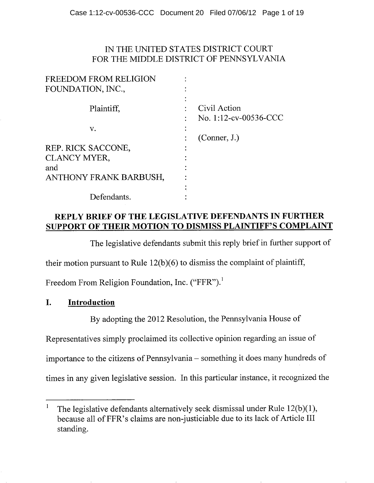#### IN THE UNITED STATES DISTRICT COURT FOR THE MIDDLE DISTRICT OF PENNSYLVANIA

| Civil Action<br>No. 1:12-cv-00536-CCC |
|---------------------------------------|
|                                       |
| (Connect, J.)                         |
|                                       |
|                                       |
|                                       |
|                                       |
|                                       |
|                                       |
|                                       |

#### **REPLY BRIEF OF THE LEGISLATIVE DEFENDANTS IN FURTHER SUPPORT OF THEIR MOTION TO DISMISS PLAINTIFF'S COMPLAINT**

The legislative defendants submit this reply brief in further support of

their motion pursuant to Rule 12(b)(6) to dismiss the complaint of plaintiff,

Freedom From Religion Foundation, Inc. ("FFR").<sup>1</sup>

### **I. Introduction**

By adopting the 2012 Resolution, the Pennsylvania House of

Representatives simply proclaimed its collective opinion regarding an issue of

importance to the citizens of Pennsylvania – something it does many hundreds of

times in any given legislative session. In this particular instance, it recognized the

<sup>&</sup>lt;sup>1</sup> The legislative defendants alternatively seek dismissal under Rule 12(b)(1), because all of FFR's claims are non-justiciable due to its lack of Article III standing.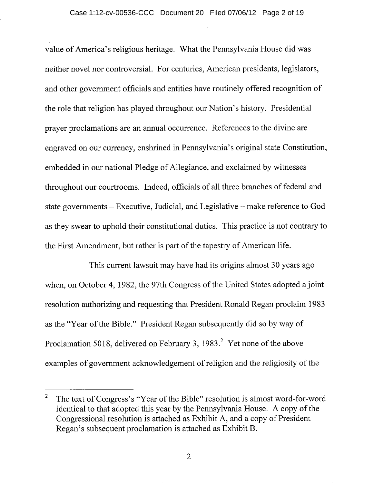value of America's religious heritage. What the Pennsylvania House did was neither novel nor controversial. For centuries, American presidents, legislators, and other government officials and entities have routinely offered recognition of the role that religion has played throughout our Nation's history. Presidential prayer proclamations are an annual occurrence. References to the divine are engraved on our currency, enshrined in Pennsylvania's original state Constitution, embedded in our national Pledge of Allegiance, and exclaimed by witnesses throughout our courtrooms. Indeed, officials of all three branches of federal and state governments – Executive, Judicial, and Legislative – make reference to God as they swear to uphold their constitutional duties. This practice is not contrary to the First Amendment, but rather is part of the tapestry of American life.

This current lawsuit may have had its origins almost 30 years ago when, on October 4, 1982, the 97th Congress of the United States adopted a joint resolution authorizing and requesting that President Ronald Regan proclaim 1983 as the "Year of the Bible." President Regan subsequently did so by way of Proclamation 5018, delivered on February 3, 1983.<sup>2</sup> Yet none of the above examples of government acknowledgement of religion and the religiosity of the

 $\overline{2}$ The text of Congress's "Year of the Bible" resolution is almost word-for-word identical to that adopted this year by the Pennsylvania House. A copy of the Congressional resolution is attached as Exhibit A, and a copy of President Regan's subsequent proclamation is attached as Exhibit B.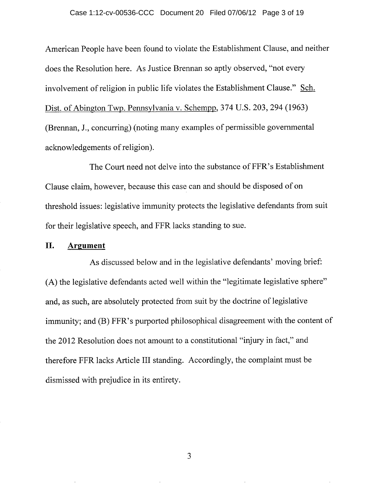#### Case 1:12-cv-00536-CCC Document 20 Filed 07/06/12 Page 3 of 19

American People have been found to violate the Establishment Clause, and neither does the Resolution here. As Justice Brennan so aptly observed, "not every involvement of religion in public life violates the Establishment Clause." Sch. Dist. of Abington Twp. Pennsylvania v. Schempp, 374 U.S. 203, 294 (1963) (Brennan, J., concurring) (noting many examples of permissible governmental acknowledgements of religion).

The Court need not delve into the substance of FFR's Establishment Clause claim, however, because this case can and should be disposed of on threshold issues: legislative immunity protects the legislative defendants from suit for their legislative speech, and FFR lacks standing to sue.

#### II. **Argument**

As discussed below and in the legislative defendants' moving brief: (A) the legislative defendants acted well within the "legitimate legislative sphere" and, as such, are absolutely protected from suit by the doctrine of legislative immunity; and (B) FFR's purported philosophical disagreement with the content of the 2012 Resolution does not amount to a constitutional "injury in fact," and therefore FFR lacks Article III standing. Accordingly, the complaint must be dismissed with prejudice in its entirety.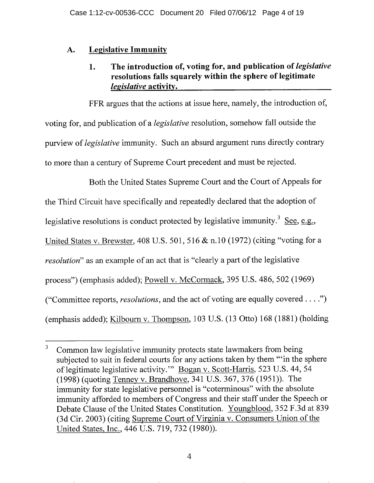# **A. Legislative Immunity**

### **1. The introduction of, voting for, and publication** *of legislative*  **resolutions falls squarely within the sphere of legitimate**  *legislative* activity.

FFR argues that the actions at issue here, namely, the introduction of, voting for, and publication of a *legislative* resolution, somehow fall outside the purview of *legislative* immunity. Such an absurd argument runs directly contrary to more than a century of Supreme Court precedent and must be rejected.

Both the United States Supreme Court and the Court of Appeals for the Third Circuit have specifically and repeatedly declared that the adoption of legislative resolutions is conduct protected by legislative immunity.<sup>3</sup> See, e.g., United States v. Brewster, 408 U.S. 501, 516 & n.10 (1972) (citing "voting for a *resolution*" as an example of an act that is "clearly a part of the legislative process") (emphasis added); Powell v. McCormack, 395 U.S. 486, *502* (1969) ("Committee reports, *resolutions,* and the act of voting are equally covered. . . (emphasis added); Kilbourn v. Thompson, 103 U.S. (13 Otto) 168 (1881) (holding

<sup>3</sup> Common law legislative immunity protects state lawmakers from being subjected to suit in federal courts for any actions taken by them ""in the sphere of legitimate legislative activity." Bogan v. Scott-Harris, 523 U.S. 44, 54 (1998) (quoting Tenney v. Brandhove, 341 U.S. 367, 376 (1951)). The immunity for state legislative personnel is "coterminous" with the absolute immunity afforded to members of Congress and their staff under the Speech or Debate Clause of the United States Constitution. Youngblood, 352 F.3d at 839 (3d Cir. 2003) (citing Supreme Court of Virginia v. Consumers Union of the United States, Inc., 446 U.S. 719, 732 (1980)).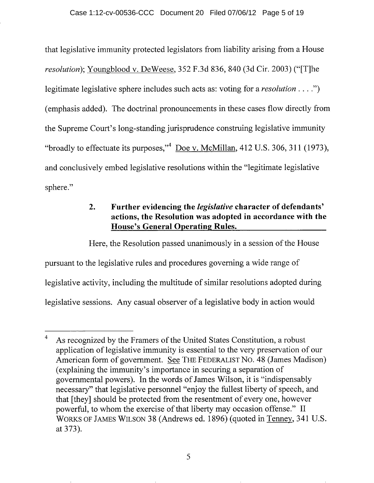that legislative immunity protected legislators from liability arising from a House *resolution);* Youngblood v. DeWeese, *352* F.3d 836, 840 (3d Cir. 2003) ("[T]he legitimate legislative sphere includes such acts as: voting for a *resolution. . .*  (emphasis added). The doctrinal pronouncements in these cases flow directly from the Supreme Court's long-standing jurisprudence construing legislative immunity "broadly to effectuate its purposes," Doe v. McMillan,  $412$  U.S. 306, 311 (1973), and conclusively embed legislative resolutions within the "legitimate legislative sphere."

# **2. Further evidencing the** *legislative* **character of defendants' actions, the Resolution was adopted in accordance with the House's General Operating Rules.**

Here, the Resolution passed unanimously in a session of the House pursuant to the legislative rules and procedures governing a wide range of legislative activity, including the multitude of similar resolutions adopted during legislative sessions. Any casual observer of a legislative body in action would

 $\overline{4}$ As recognized by the Framers of the United States Constitution, a robust application of legislative immunity is essential to the very preservation of our American form of government. See THE FEDERALIST No. 48 (James Madison) (explaining the immunity's importance in securing a separation of governmental powers). In the words of James Wilson, it is "indispensably necessary" that legislative personnel "enjoy the fullest liberty of speech, and that [they] should be protected from the resentment of every one, however powerful, to whom the exercise of that liberty may occasion offense." II WORKS OF JAMES WILSON 38 (Andrews ed. 1896) (quoted in Tenney, 341 U.S. at 373).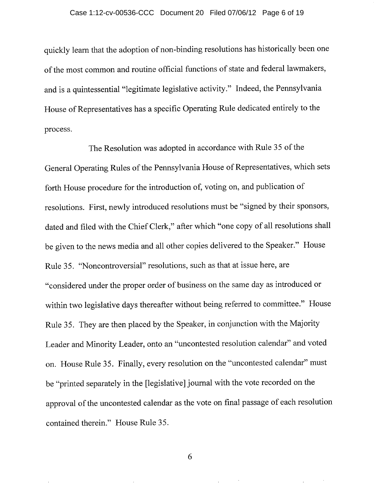quickly learn that the adoption of non-binding resolutions has historically been one of the most common and routine official functions of state and federal lawmakers, and is a quintessential "legitimate legislative activity." Indeed, the Pennsylvania House of Representatives has a specific Operating Rule dedicated entirely to the process.

The Resolution was adopted in accordance with Rule *35* of the General Operating Rules of the Pennsylvania House of Representatives, which sets forth House procedure for the introduction of, voting on, and publication of resolutions. First, newly introduced resolutions must be "signed by their sponsors, dated and filed with the Chief Clerk," after which "one copy of all resolutions shall be given to the news media and all other copies delivered to the Speaker." House Rule *35.* "Noncontroversial" resolutions, such as that at issue here, are "considered under the proper order of business on the same day as introduced or within two legislative days thereafter without being referred to committee." House Rule *35.* They are then placed by the Speaker, in conjunction with the Majority Leader and Minority Leader, onto an "uncontested resolution calendar" and voted on. House Rule *35.* Finally, every resolution on the "uncontested calendar" must be "printed separately in the [legislative] journal with the vote recorded on the approval of the uncontested calendar as the vote on final passage of each resolution contained therein." House Rule *35.* 

**rel**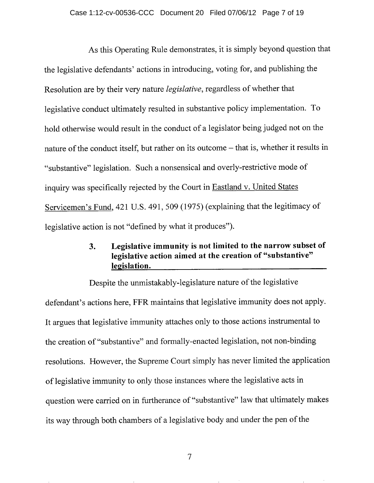As this Operating Rule demonstrates, it is simply beyond question that the legislative defendants' actions in introducing, voting for, and publishing the Resolution are by their very nature *legislative,* regardless of whether that legislative conduct ultimately resulted in substantive policy implementation. To hold otherwise would result in the conduct of a legislator being judged not on the nature of the conduct itself, but rather on its outcome - that is, whether it results in "substantive" legislation. Such a nonsensical and overly-restrictive mode of inquiry was specifically rejected by the Court in Eastland v. United States Servicemen's Fund, 421 U.S. 491, *509 (1975)* (explaining that the legitimacy of legislative action is not "defined by what it produces").

# 3. Legislative immunity is not limited to the narrow subset of legislative action aimed at the creation of "substantive" legislation.

Despite the unmistakably-legislature nature of the legislative defendant's actions here, FFR maintains that legislative immunity does not apply. It argues that legislative immunity attaches only to those actions instrumental to the creation of "substantive" and formally-enacted legislation, not non-binding resolutions. However, the Supreme Court simply has never limited the application of legislative immunity to only those instances where the legislative acts in question were carried on in furtherance of "substantive" law that ultimately makes its way through both chambers of a legislative body and under the pen of the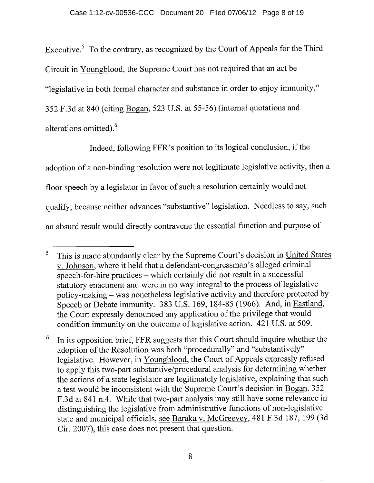Executive.<sup>5</sup> To the contrary, as recognized by the Court of Appeals for the Third Circuit in Youngblood, the Supreme Court has not required that an act be "legislative in both formal character and substance in order to enjoy immunity." *352* F.3d at 840 (citing Bogan, *523* U.S. at *55-56)* (internal quotations and alterations omitted).<sup>6</sup>

Indeed, following FFR's position to its logical conclusion, if the adoption of a non-binding resolution were not legitimate legislative activity, then a floor speech by a legislator in favor of such a resolution certainly would not qualify, because neither advances "substantive" legislation. Needless to say, such an absurd result would directly contravene the essential function and purpose of

 $\sqrt{5}$ This is made abundantly clear by the Supreme Court's decision in United States v. Johnson, where it held that a defendant-congressman's alleged criminal speech-for-hire practices - which certainly did not result in a successful statutory enactment and were in no way integral to the process of legislative policy-making - was nonetheless legislative activity and therefore protected by Speech or Debate immunity. 383 U.S. 169, 184-85 (1966). And, in Eastland, the Court expressly denounced any application of the privilege that would condition immunity on the outcome of legislative action. 421 U.S. at 509.

In its opposition brief, FFR suggests that this Court should inquire whether the 6 adoption of the Resolution was both "procedurally" and "substantively" legislative. However, in Youngblood, the Court of Appeals expressly refused to apply this two-part substantive/procedural analysis for determining whether the actions of a state legislator are legitimately legislative, explaining that such a test would be inconsistent with the Supreme Court's decision in Bogan. 352 F.3d at 841 n.4. While that two-part analysis may still have some relevance in distinguishing the legislative from administrative functions of non-legislative state and municipal officials, see Baraka v. McGreevey, 481 F.3d 187, 199 (3d Cir. 2007), this case does not present that question.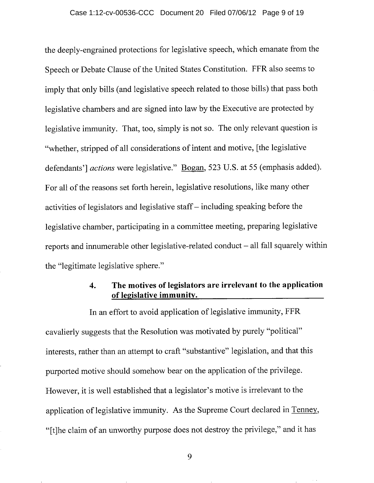the deeply-engrained protections for legislative speech, which emanate from the Speech **or** Debate Clause of the United States Constitution. FFR also seems to imply that only bills (and legislative speech related to those bills) that pass both legislative chambers and are signed into law by the Executive are protected by legislative immunity. That, too, simply is not so. The only relevant question is "whether, stripped of all considerations of intent and motive, [the legislative defendants'] *actions* were legislative." Bogan, 523 U.S. at 55 (emphasis added). For all of the reasons set forth herein, legislative resolutions, like many other activities of legislators and legislative staff  $-$  including speaking before the legislative chamber, participating in a committee meeting, preparing legislative reports and innumerable other legislative-related conduct  $-$  all fall squarely within the "legitimate legislative sphere."

### **4. The motives of legislators are irrelevant to the application of legislative immunity.**

**In** an effort to avoid application of legislative immunity, **FFR**  cavalierly suggests that the Resolution was motivated by purely "political" interests, rather than an attempt to craft "substantive" legislation, and that this purported motive should somehow bear on the application **of** the privilege. However, it is well established that a legislator's motive is irrelevant to the application of legislative immunity. As the Supreme Court declared in Tenney, "[t]he claim of an unworthy purpose does not destroy the privilege," and it has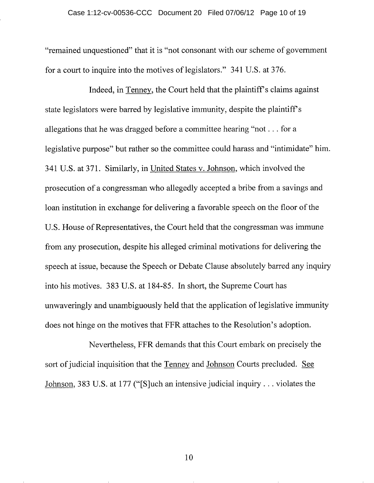"remained unquestioned" that it is "not consonant with our scheme of government for a court to inquire into the motives of legislators." 341 U.S. at 376.

Indeed, in Tenney, the Court held that the plaintiff's claims against state legislators were barred by legislative immunity, despite the plaintiff's allegations that he was dragged before a committee hearing "not. . . for a legislative purpose" but rather so the committee could harass and "intimidate" him. 341 U.S. at 371. Similarly, in United States v. Johnson, which involved the prosecution of a congressman who allegedly accepted a bribe from a savings and loan institution in exchange for delivering a favorable speech on the floor of the U.S. House of Representatives, the Court held that the congressman was immune from any prosecution, despite his alleged criminal motivations for delivering the speech at issue, because the Speech or Debate Clause absolutely barred any inquiry into his motives. 383 U.S. at 184-85. In short, the Supreme Court has unwaveringly and unambiguously held that the application of legislative immunity does not hinge on the motives that FFR attaches to the Resolution's adoption.

Nevertheless, FFR demands that this Court embark on precisely the sort of judicial inquisition that the Tenney and Johnson Courts precluded. See Johnson, 383 U.S. at 177 ("[S]uch an intensive judicial inquiry. . . violates the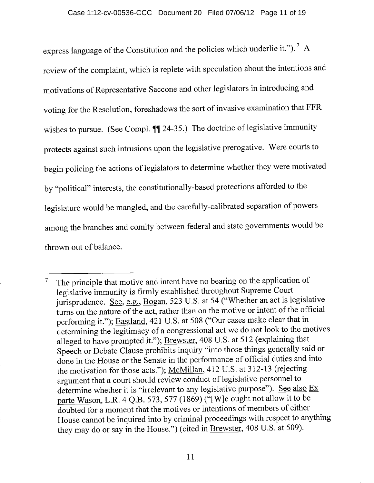express language of the Constitution and the policies which underlie it.").<sup>7</sup> A review of the complaint, which is replete with speculation about the intentions and motivations of Representative Saccone and other legislators in introducing and voting for the Resolution, foreshadows the sort of invasive examination that FFR wishes to pursue. (See Compl.  $\P$ ] 24-35.) The doctrine of legislative immunity protects against such intrusions upon the legislative prerogative. Were courts to begin policing the actions of legislators to determine whether they were motivated by "political" interests, the constitutionally-based protections afforded to the legislature would be mangled, and the carefully-calibrated separation of powers among the branches and comity between federal and state governments would be thrown out of balance.

The principle that motive and intent have no bearing on the application of  $\overline{7}$ legislative immunity is firmly established throughout Supreme Court jurisprudence. See, e.g., Bogan, 523 U.S. at 54 ("Whether an act is legislative turns on the nature of the act, rather than on the motive or intent of the official performing it."); Eastland, 421 U.S. at 508 ("Our cases make clear that in determining the legitimacy of a congressional act we do not look to the motives alleged to have prompted it."); Brewster, 408 U.S. at 512 (explaining that Speech or Debate Clause prohibits inquiry "into those things generally said or done in the House or the Senate in the performance of official duties and into the motivation for those acts."); McMillan, 412 U.S. at 312-13 (rejecting argument that a court should review conduct of legislative personnel to determine whether it is "irrelevant to any legislative purpose"). See also Ex parte Wason, L.R. 4 Q.B. 573, 577 (1869) ("[W]e ought not allow it to be doubted for a moment that the motives or intentions of members of either House cannot be inquired into by criminal proceedings with respect to anything they may do or say in the House.") (cited in Brewster, 408 U.S. at 509).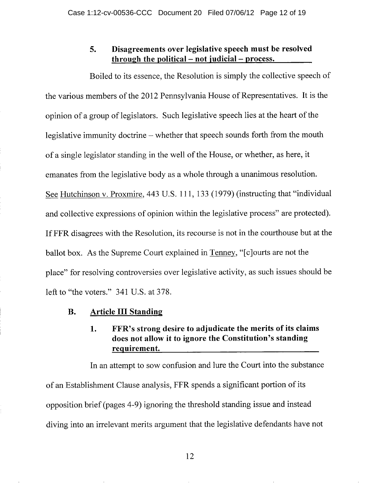#### 5. Disagreements over legislative speech must be resolved through the political  $-$  not judicial  $-$  process.

Boiled to its essence, the Resolution is simply the collective speech of the various members of the 2012 Pennsylvania House of Representatives. It is the opinion of a group of legislators. Such legislative speech lies at the heart of the legislative immunity doctrine – whether that speech sounds forth from the mouth of a single legislator standing in the well of the House, or whether, as here, it emanates from the legislative body as a whole through a unanimous resolution. See Hutchinson v. Proxmire, 443 U.S. 111, 133 (1979) (instructing that "individual and collective expressions of opinion within the legislative process" are protected). If FFR disagrees with the Resolution, its recourse is not in the courthouse but at the ballot box. As the Supreme Court explained in Tenney, "[c]ourts are not the place" for resolving controversies over legislative activity, as such issues should be left to "the voters." 341 U.S. at 378.

#### B. Article III Standing

## 1. FFR's strong desire to adjudicate the merits of its claims does not allow it to ignore the Constitution's standing requirement.

In an attempt to sow confusion and lure the Court into the substance of an Establishment Clause analysis, FFR spends a significant portion of its opposition brief (pages 4-9) ignoring the threshold standing issue and instead diving into an irrelevant merits argument that the legislative defendants have not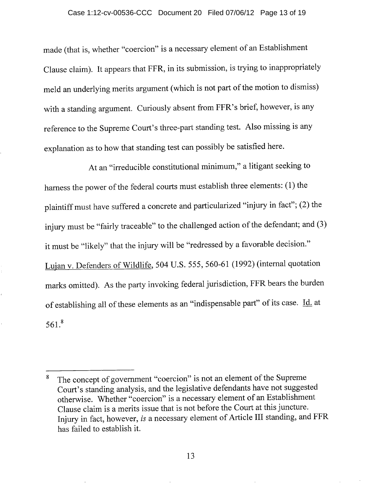#### Case 1:12-cv-00536-CCC Document 20 Filed 07/06/12 Page 13 of 19

made (that is, whether "coercion" is a necessary element of an Establishment Clause claim). It appears that FFR, in its submission, is trying to inappropriately meld an underlying merits argument (which is not part of the motion to dismiss) with a standing argument. Curiously absent from FFR's brief, however, is any reference to the Supreme Court's three-part standing test. Also missing is any explanation as to how that standing test can possibly be satisfied here.

At an "irreducible constitutional minimum," a litigant seeking to harness the power of the federal courts must establish three elements: (1) the plaintiff must have suffered a concrete and particularized "injury in fact"; (2) the injury must be "fairly traceable" to the challenged action of the defendant; and (3) it must be "likely" that the injury will be "redressed by a favorable decision." Lujan v. Defenders of Wildlife, *504* U.S. *555, 560-6* 1 (1992) (internal quotation marks omitted). As the party invoking federal jurisdiction, FFR bears the burden of establishing all of these elements as an "indispensable part" of its case. Id. at *561 . <sup>8</sup>*

The concept of government "coercion" is not an element of the Supreme 8 Court's standing analysis, and the legislative defendants have not suggested otherwise. Whether "coercion" is a necessary element of an Establishment Clause claim is a merits issue that is not before the Court at this juncture. Injury in fact, however, *is* a necessary element of Article III standing, and FFR has failed to establish it.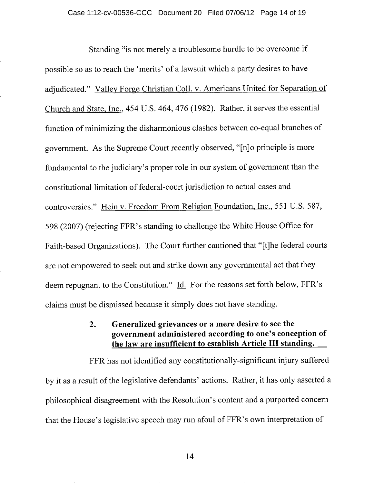Standing "is not merely a troublesome hurdle to be overcome if possible so as to reach the 'merits' of a lawsuit which a party desires to have adjudicated." Valley Forge Christian Coll. v. Americans United for Separation of Church and State, Inc., *454* U.S. 464, 476 (1982). Rather, it serves the essential function of minimizing the disharmonious clashes between co-equal branches of government. As the Supreme Court recently observed, "[n]o principle is more fundamental to the judiciary's proper role in our system of government than the constitutional limitation of federal-court jurisdiction to actual cases and controversies." Hein v. Freedom From Religion Foundation, Inc., *551* U.S. *587,*  598 (2007) (rejecting FFR's standing to challenge the White House Office for Faith-based Organizations). The Court further cautioned that "[t]he federal courts are not empowered to seek out and strike down any governmental act that they deem repugnant to the Constitution." Id. For the reasons set forth below, FFR's claims must be dismissed because it simply does not have standing.

#### 2. Generalized grievances or a mere desire to see the government administered according to one's conception of the law are insufficient to establish Article III standing.

FFR has not identified any constitutionally-significant injury suffered by it as a result of the legislative defendants' actions. Rather, it has only asserted a philosophical disagreement with the Resolution's content and a purported concern that the House's legislative speech may run afoul of FFR's own interpretation of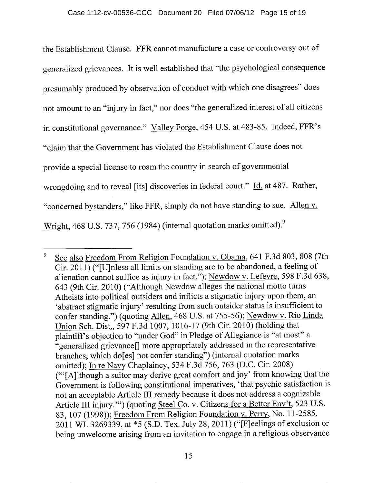the Establishment Clause. FFR cannot manufacture a case or controversy out of generalized grievances. It is well established that "the psychological consequence presumably produced by observation of conduct with which one disagrees" does not amount to an "injury in fact," nor does "the generalized interest of all citizens in constitutional governance." Valley Forge, *454* U.S. at 483-85. Indeed, FFR's "claim that the Government has violated the Establishment Clause does not provide a special license to roam the country in search of governmental wrongdoing and to reveal [its] discoveries in federal court." Id. at 487. Rather, "concerned bystanders," like FFR, simply do not have standing to sue. Allen v. Wright, 468 U.S. 737, 756 (1984) (internal quotation marks omitted).<sup>9</sup>

<sup>9</sup> See also Freedom From Religion Foundation v. Obama, 641 F.3d 803, 808 (7th Cir. 2011) ("[U]nless all limits on standing are to be abandoned, a feeling of alienation cannot suffice as injury in fact."); Newdow v. Lefevre, 598 F.3d 638, 643 (9th Cir. 2010) ("Although Newdow alleges the national motto turns Atheists into political outsiders and inflicts a stigmatic injury upon them, an 'abstract stigmatic injury' resulting from such outsider status is insufficient to confer standing.") (quoting Allen, 468 U.S. at 755-56); Newdow v. Rio Linda Union Sch. Dist., 597 F.3d 1007, 1016-17 (9th Cir. 2010) (holding that plaintiffs objection to "under God" in Pledge of Allegiance is "at most" a "generalized grievance[] more appropriately addressed in the representative branches, which do[es] not confer standing") (internal quotation marks omitted); In re Navy Chaplaincy, 534 F.3d 756, 763 (D.C. Cir. 2008) ("[A]lthough a suitor may derive great comfort and joy' from knowing that the Government is following constitutional imperatives, 'that psychic satisfaction is not an acceptable Article III remedy because it does not address a cognizable Article III injury.") (quoting Steel Co. v. Citizens for a Better Env't, 523 U.S. 83, 107 (1998)); Freedom From Religion Foundation v. Perry, No. 11-2585, 2011 WL 3269339, at \*5 (S.D. Tex. July 28, 2011) ("[F]eelings of exclusion or being unwelcome arising from an invitation to engage in a religious observance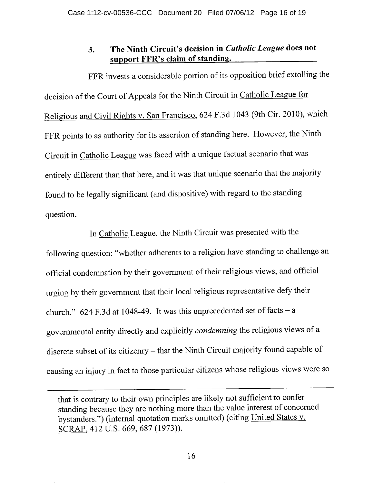# **3. The Ninth Circuit's decision in** *Catholic League* does not support FFR's claim of standing.

FFR invests a considerable portion of its opposition brief extolling the decision of the Court of Appeals for the Ninth Circuit in Catholic League for Religious and Civil Rights v. San Francisco, 624 F.3d 1043 (9th Cir. 2010), which FFR points to as authority for its assertion of standing here. However, the Ninth Circuit in Catholic League was faced with a unique factual scenario that was entirely different than that here, and it was that unique scenario that the majority found to be legally significant (and dispositive) with regard to the standing question.

In Catholic League, the Ninth Circuit was presented with the following question: "whether adherents to a religion have standing to challenge an official condemnation by their government of their religious views, and official urging by their government that their local religious representative defy their church."  $624$  F.3d at 1048-49. It was this unprecedented set of facts - a governmental entity directly and explicitly *condemning* the religious views of a discrete subset of its citizenry - that the Ninth Circuit majority found capable of causing an injury in fact to those particular citizens whose religious views were so

that is contrary to their own principles are likely not sufficient to confer standing because they are nothing more than the value interest of concerned bystanders.") (internal quotation marks omitted) (citing United States v. SCRAP, 412 U.S. 669, 687 (1973)).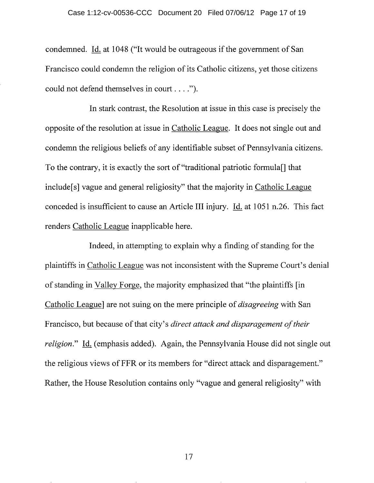condemned. Id. at 1048 ("It would be outrageous if the government of San Francisco could condemn the religion of its Catholic citizens, yet those citizens could not defend themselves in court....").

In stark contrast, the Resolution at issue in this case is precisely the opposite of the resolution at issue in Catholic League. It does not single out and condemn the religious beliefs of any identifiable subset of Pennsylvania citizens. To the contrary, it is exactly the sort of "traditional patriotic formula[] that include[s] vague and general religiosity" that the majority in Catholic League conceded is insufficient to cause an Article III injury. Id. at 1051 n.26. This fact renders Catholic League inapplicable here.

Indeed, in attempting to explain why a finding of standing for the plaintiffs in Catholic League was not inconsistent with the Supreme Court's denial of standing in Valley Forge, the majority emphasized that "the plaintiffs [in Catholic League] are not suing on the mere principle of *disagreeing* with San Francisco, but because of that city's *direct attack and disparagement of their religion."* Id. (emphasis added). Again, the Pennsylvania House did not single out the religious views of FFR or its members for "direct attack and disparagement." Rather, the House Resolution contains only "vague and general religiosity" with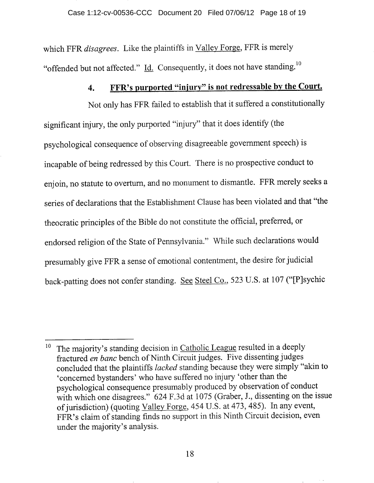which FFR *disagrees.* Like the plaintiffs in Valley Forge, FFR is merely "offended but not affected."  $\underline{Id}$ . Consequently, it does not have standing.<sup>10</sup>

# 4. FFR's purported "injury" is not redressable by the Court.

Not only has FFR failed to establish that it suffered a constitutionally significant injury, the only purported "injury" that it does identify (the psychological consequence of observing disagreeable government speech) is incapable of being redressed by this Court. There is no prospective conduct to enjoin, no statute to overturn, and no monument to dismantle. FFR merely seeks a series of declarations that the Establishment Clause has been violated and that "the theocratic principles of the Bible do not constitute the official, preferred, or endorsed religion of the State of Pennsylvania." While such declarations would presumably give FFR a sense of emotional contentment, the desire for judicial back-patting does not confer standing. See Steel Co., *523* U.S. at 107 ("[P]sychic

 $10$  The majority's standing decision in Catholic League resulted in a deeply fractured *en banc* bench of Ninth Circuit judges. Five dissenting judges concluded that the plaintiffs *lacked* standing because they were simply "akin to 'concerned bystanders' who have suffered no injury 'other than the psychological consequence presumably produced by observation of conduct with which one disagrees." 624 F.3d at 1075 (Graber, J., dissenting on the issue of jurisdiction) (quoting Valley Forge, *454* U.S. at 473, *485).* In any event, FFR's claim of standing finds no support in this Ninth Circuit decision, even under the majority's analysis.